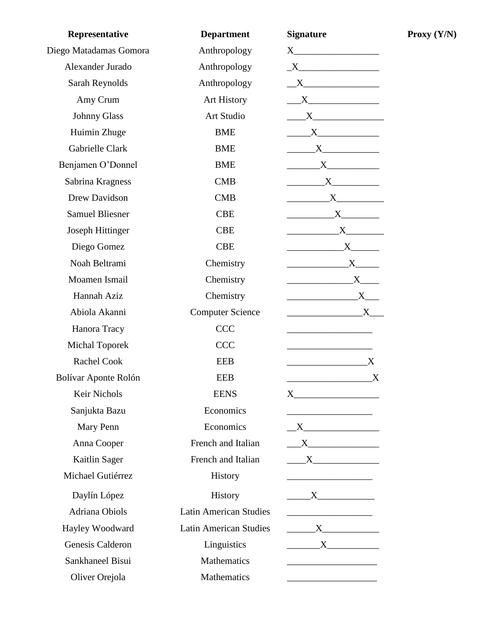| Representative          | <b>Department</b>             | <b>Signature</b>                                                                                                                                                                                                                                                                                                                                                                                                                                                                |
|-------------------------|-------------------------------|---------------------------------------------------------------------------------------------------------------------------------------------------------------------------------------------------------------------------------------------------------------------------------------------------------------------------------------------------------------------------------------------------------------------------------------------------------------------------------|
| Diego Matadamas Gomora  | Anthropology                  |                                                                                                                                                                                                                                                                                                                                                                                                                                                                                 |
| Alexander Jurado        | Anthropology                  | $\underline{\begin{picture}(15,15) \put(0,0){\dashbox{0.5}(10,0){ }} \put(15,0){\dashbox{0.5}(10,0){ }} \put(15,0){\dashbox{0.5}(10,0){ }} \put(15,0){\dashbox{0.5}(10,0){ }} \put(15,0){\dashbox{0.5}(10,0){ }} \put(15,0){\dashbox{0.5}(10,0){ }} \put(15,0){\dashbox{0.5}(10,0){ }} \put(15,0){\dashbox{0.5}(10,0){ }} \put(15,0){\dashbox{0.5}(10,0){ }} \put(15,0){\$                                                                                                      |
| Sarah Reynolds          | Anthropology                  | $\begin{tabular}{c} $X$ & \end{tabular}$                                                                                                                                                                                                                                                                                                                                                                                                                                        |
| Amy Crum                | <b>Art History</b>            | $\overline{\text{X}}$                                                                                                                                                                                                                                                                                                                                                                                                                                                           |
| <b>Johnny Glass</b>     | Art Studio                    | $\overline{\phantom{a}}$ $\overline{\phantom{a}}$ $\overline{\phantom{a}}$ $\overline{\phantom{a}}$ $\overline{\phantom{a}}$ $\overline{\phantom{a}}$ $\overline{\phantom{a}}$ $\overline{\phantom{a}}$ $\overline{\phantom{a}}$ $\overline{\phantom{a}}$ $\overline{\phantom{a}}$ $\overline{\phantom{a}}$ $\overline{\phantom{a}}$ $\overline{\phantom{a}}$ $\overline{\phantom{a}}$ $\overline{\phantom{a}}$ $\overline{\phantom{a}}$ $\overline{\phantom{a}}$ $\overline{\$ |
| Huimin Zhuge            | <b>BME</b>                    | X                                                                                                                                                                                                                                                                                                                                                                                                                                                                               |
| Gabrielle Clark         | <b>BME</b>                    |                                                                                                                                                                                                                                                                                                                                                                                                                                                                                 |
| Benjamen O'Donnel       | <b>BME</b>                    | $\begin{array}{c} \begin{array}{c} \text{X} \end{array} \end{array}$                                                                                                                                                                                                                                                                                                                                                                                                            |
| Sabrina Kragness        | <b>CMB</b>                    | $\begin{array}{c}\nX\n\end{array}$                                                                                                                                                                                                                                                                                                                                                                                                                                              |
| Drew Davidson           | <b>CMB</b>                    | $\begin{array}{c}\nX\n\end{array}$                                                                                                                                                                                                                                                                                                                                                                                                                                              |
| <b>Samuel Bliesner</b>  | <b>CBE</b>                    | $\overbrace{\text{X}}$                                                                                                                                                                                                                                                                                                                                                                                                                                                          |
| <b>Joseph Hittinger</b> | <b>CBE</b>                    | $\begin{array}{c}\nX\n\end{array}$                                                                                                                                                                                                                                                                                                                                                                                                                                              |
| Diego Gomez             | <b>CBE</b>                    | $\begin{array}{c}\nX\n\end{array}$                                                                                                                                                                                                                                                                                                                                                                                                                                              |
| Noah Beltrami           | Chemistry                     | $\begin{array}{c}\nX\n\end{array}$                                                                                                                                                                                                                                                                                                                                                                                                                                              |
| Moamen Ismail           | Chemistry                     | $\overbrace{\textbf{X}}$                                                                                                                                                                                                                                                                                                                                                                                                                                                        |
| Hannah Aziz             | Chemistry                     | $\overbrace{\text{X}}$                                                                                                                                                                                                                                                                                                                                                                                                                                                          |
| Abiola Akanni           | <b>Computer Science</b>       |                                                                                                                                                                                                                                                                                                                                                                                                                                                                                 |
| Hanora Tracy            | <b>CCC</b>                    |                                                                                                                                                                                                                                                                                                                                                                                                                                                                                 |
| <b>Michal Toporek</b>   | <b>CCC</b>                    | the control of the control of the control of the                                                                                                                                                                                                                                                                                                                                                                                                                                |
| Rachel Cook             | <b>EEB</b>                    | <u>_____________________________</u> ____<br>$\boldsymbol{\mathrm{X}}$                                                                                                                                                                                                                                                                                                                                                                                                          |
| Bolívar Aponte Rolón    | <b>EEB</b>                    | $_{\rm X}$                                                                                                                                                                                                                                                                                                                                                                                                                                                                      |
| Keir Nichols            | <b>EENS</b>                   |                                                                                                                                                                                                                                                                                                                                                                                                                                                                                 |
| Sanjukta Bazu           | Economics                     |                                                                                                                                                                                                                                                                                                                                                                                                                                                                                 |
| Mary Penn               | Economics                     | $\mathbf{X}$                                                                                                                                                                                                                                                                                                                                                                                                                                                                    |
| Anna Cooper             | French and Italian            | $\overline{\phantom{a}}$ $\overline{\phantom{a}}$ $\overline{\phantom{a}}$ $\overline{\phantom{a}}$ $\overline{\phantom{a}}$ $\overline{\phantom{a}}$ $\overline{\phantom{a}}$ $\overline{\phantom{a}}$ $\overline{\phantom{a}}$ $\overline{\phantom{a}}$ $\overline{\phantom{a}}$ $\overline{\phantom{a}}$ $\overline{\phantom{a}}$ $\overline{\phantom{a}}$ $\overline{\phantom{a}}$ $\overline{\phantom{a}}$ $\overline{\phantom{a}}$ $\overline{\phantom{a}}$ $\overline{\$ |
| Kaitlin Sager           | French and Italian            | $\overline{\phantom{a}}$ $X$ $\overline{\phantom{a}}$                                                                                                                                                                                                                                                                                                                                                                                                                           |
| Michael Gutiérrez       | History                       |                                                                                                                                                                                                                                                                                                                                                                                                                                                                                 |
| Daylín López            | History                       | $\overline{\mathbf{X}}$                                                                                                                                                                                                                                                                                                                                                                                                                                                         |
| Adriana Obiols          | <b>Latin American Studies</b> | <u> 1990 - Johann Barn, mars ann an t-Amhair ann an t-</u>                                                                                                                                                                                                                                                                                                                                                                                                                      |
| Hayley Woodward         | <b>Latin American Studies</b> | $\mathbf{X}$ and $\mathbf{X}$ and $\mathbf{X}$ and $\mathbf{X}$ and $\mathbf{X}$ and $\mathbf{X}$ and $\mathbf{X}$ and $\mathbf{X}$ and $\mathbf{X}$ and $\mathbf{X}$ and $\mathbf{X}$ and $\mathbf{X}$ and $\mathbf{X}$ and $\mathbf{X}$ and $\mathbf{X}$ and $\mathbf{X}$ and $\mathbf{X}$ and                                                                                                                                                                                |
| Genesis Calderon        | Linguistics                   | $\mathbf{X}$ and $\mathbf{X}$ and $\mathbf{X}$ and $\mathbf{X}$ and $\mathbf{X}$ and $\mathbf{X}$ are solved by $\mathbf{X}$                                                                                                                                                                                                                                                                                                                                                    |
| Sankhaneel Bisui        | Mathematics                   |                                                                                                                                                                                                                                                                                                                                                                                                                                                                                 |
| Oliver Orejola          | Mathematics                   |                                                                                                                                                                                                                                                                                                                                                                                                                                                                                 |

**Proxy (Y/N)**